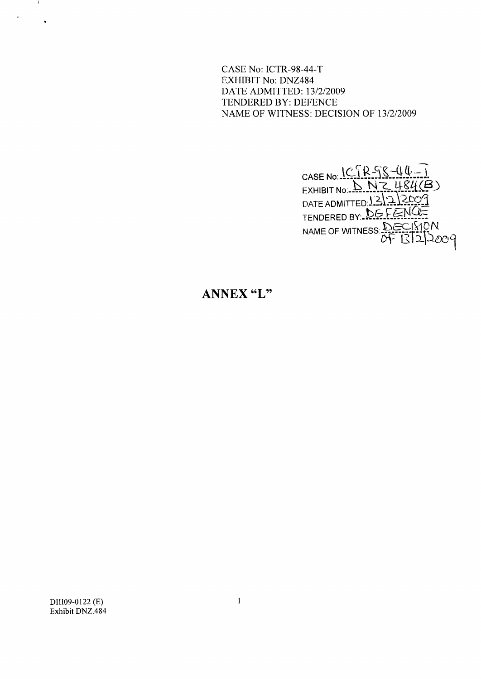CASE No: ICTR-98-44-T **EXHIBIT No: DNZ484** DATE ADMITTED: 13/2/2009 TENDERED BY: DEFENCE NAME OF WITNESS: DECISION OF 13/2/2009

> CASE No:  $ICIRFSUU-T$ <br>EXHIBIT No:  $DNCHSH(B)$ <br>DATE ADMITTED:  $ISI222099$ <br>TENDERED BY:  $DEFENGE$ TENDERED BY:

## ANNEX "L"

DII109-0122 (E) Exhibit DNZ.484

 $\sim$  1.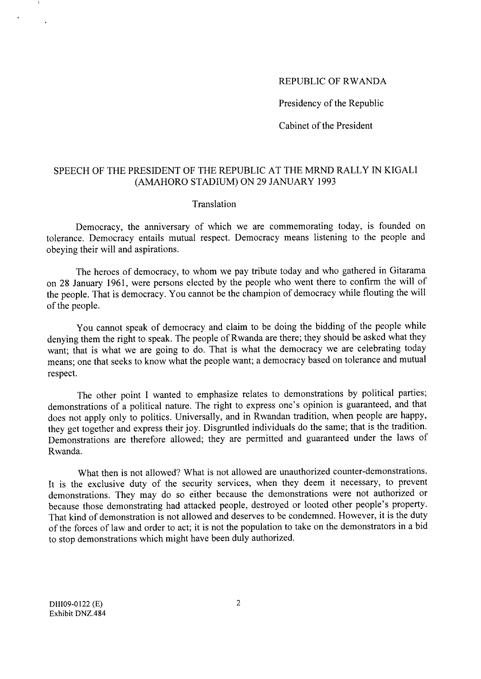## REPUBLIC OF RWANDA

Presidency of the Republic

Cabinet of the President

## SPEECH OF THE PRESIDENT OF THE REPUBLIC AT THE MRND RALLY IN KIGALI (AMAHORO STADIUM) ON 29 JANUARY 1993

## Translation

Democracy, the anniversary of which we are commemorating today, is founded on tolerance. Democracy entails mutual respect. Democracy means listening to the people and obeying their will and aspirations.

The heroes of democracy, to whom we pay tribute today and who gathered in Gitarama on 28 January 1961, were persons elected by the people who went there to confirm the will of the people. That is democracy. You cannot be the champion of democracy while flouting the will of the people.

You cannot speak of democracy and claim to be doing the bidding of the people while denying them the right to speak. The people of Rwanda are there; they should be asked what they want; that is what we are going to do. That is what the democracy we are celebrating today means; one that seeks to know what the people want; a democracy based on tolerance and mutual respect.

The other point I wanted to emphasize relates to demonstrations by political parties; demonstrations of a political nature. The right to express one's opinion is guaranteed, and that does not apply only to politics. Universally, and in Rwandan tradition, when people are happy, they get together and express their joy. Disgruntled individuals do the same; that is the tradition. Demonstrations are therefore allowed; they are permitted and guaranteed under the laws of Rwanda.

What then is not allowed? What is not allowed are unauthorized counter-demonstrations. It is the exclusive duty of the security services, when they deem it necessary, to prevent demonstrations. They may do so either because the demonstrations were not authorized or because those demonstrating had attacked people, destroyed or looted other people's property. That kind of demonstration is not allowed and deserves to be condemned. However, it is the duty of the forces of law and order to act; it is not the population to take on the demonstrators in a bid to stop demonstrations which might have been duly authorized.

DII109-0122 (E) Exhibit DNZ.484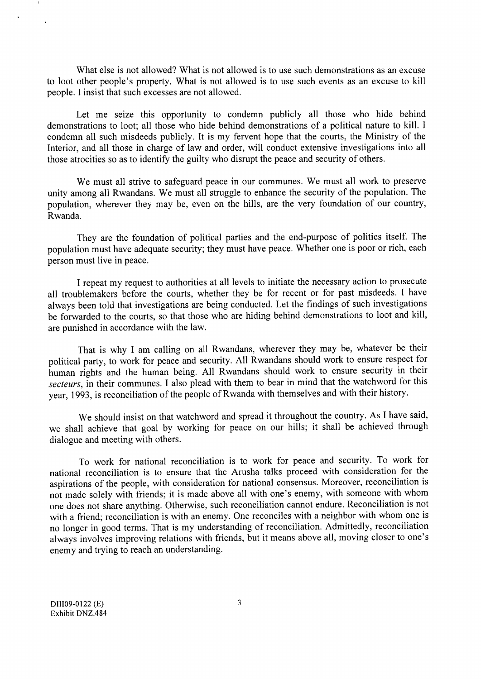What else is not allowed? What is not allowed is to use such demonstrations as an excuse to loot other people's property. What is not allowed is to use such events as an excuse to kill people. I insist that such excesses are not allowed.

Let me seize this opportunity to condemn publicly all those who hide behind demonstrations to loot; all those who hide behind demonstrations of a political nature to kill. I condemn all such misdeeds publicly. It is my fervent hope that the courts, the Ministry of the Interior, and all those in charge of law and order, will conduct extensive investigations into all those atrocities so as to identify the guilty who disrupt the peace and security of others.

We must all strive to safeguard peace in our communes. We must all work to preserve unity among all Rwandans. We must all struggle to enhance the security of the population. The population, wherever they may be, even on the hills, are the very foundation of our country, Rwanda.

They are the foundation of political parties and the end-purpose of politics itself. The population must have adequate security; they must have peace. Whether one is poor or rich, each person must live in peace.

I repeat my request to authorities at all levels to initiate the necessary action to prosecute all troublemakers before the courts, whether they be for recent or for past misdeeds. I have always been told that investigations are being conducted. Let the findings of such investigations be forwarded to the courts, so that those who are hiding behind demonstrations to loot and kill, are punished in accordance with the law.

That is why I am calling on all Rwandans, wherever they may be, whatever be their political party, to work for peace and security. All Rwandans should work to ensure respect for human rights and the human being. All Rwandans should work to ensure security in their secteurs, in their communes. I also plead with them to bear in mind that the watchword for this year, 1993, is reconciliation of the people of Rwanda with themselves and with their history.

We should insist on that watchword and spread it throughout the country. As I have said, we shall achieve that goal by working for peace on our hills; it shall be achieved through dialogue and meeting with others.

To work for national reconciliation is to work for peace and security. To work for national reconciliation is to ensure that the Arusha talks proceed with consideration for the aspirations of the people, with consideration for national consensus. Moreover, reconciliation is not made solely with friends; it is made above all with one's enemy, with someone with whom one does not share anything. Otherwise, such reconciliation cannot endure. Reconciliation is not with a friend; reconciliation is with an enemy. One reconciles with a neighbor with whom one is no longer in good terms. That is my understanding of reconciliation. Admittedly, reconciliation always involves improving relations with friends, but it means above all, moving closer to one's enemy and trying to reach an understanding.